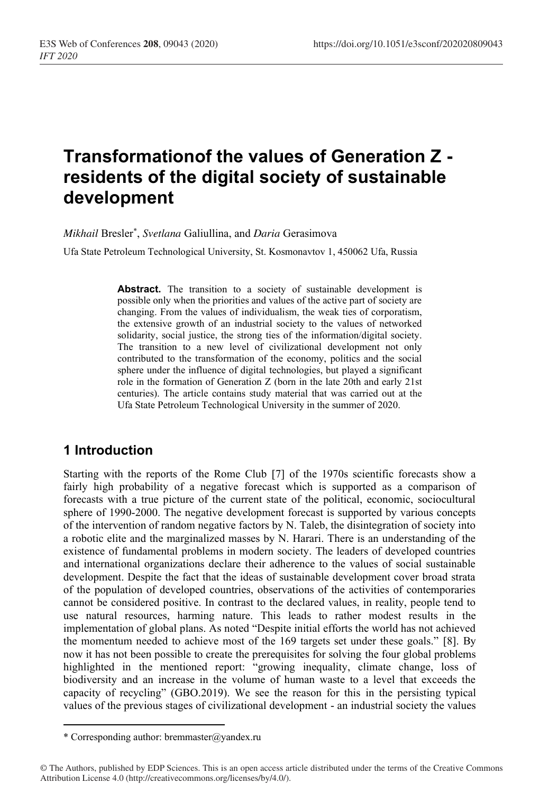# **Transformationof the values of Generation Z residents of the digital society of sustainable development**

*Mikhail* Bresler\* , *Svetlana* Galiullina, and *Daria* Gerasimova

Ufa State Petroleum Technological University, St. Kosmonavtov 1, 450062 Ufa, Russia

Abstract. The transition to a society of sustainable development is possible only when the priorities and values of the active part of society are changing. From the values of individualism, the weak ties of corporatism, the extensive growth of an industrial society to the values of networked solidarity, social justice, the strong ties of the information/digital society. The transition to a new level of civilizational development not only contributed to the transformation of the economy, politics and the social sphere under the influence of digital technologies, but played a significant role in the formation of Generation Z (born in the late 20th and early 21st centuries). The article contains study material that was carried out at the Ufa State Petroleum Technological University in the summer of 2020.

#### **1 Introduction**

Starting with the reports of the Rome Club [7] of the 1970s scientific forecasts show a fairly high probability of a negative forecast which is supported as a comparison of forecasts with a true picture of the current state of the political, economic, sociocultural sphere of 1990-2000. The negative development forecast is supported by various concepts of the intervention of random negative factors by N. Taleb, the disintegration of society into a robotic elite and the marginalized masses by N. Harari. There is an understanding of the existence of fundamental problems in modern society. The leaders of developed countries and international organizations declare their adherence to the values of social sustainable development. Despite the fact that the ideas of sustainable development cover broad strata of the population of developed countries, observations of the activities of contemporaries cannot be considered positive. In contrast to the declared values, in reality, people tend to use natural resources, harming nature. This leads to rather modest results in the implementation of global plans. As noted "Despite initial efforts the world has not achieved the momentum needed to achieve most of the 169 targets set under these goals." [8]. By now it has not been possible to create the prerequisites for solving the four global problems highlighted in the mentioned report: "growing inequality, climate change, loss of biodiversity and an increase in the volume of human waste to a level that exceeds the capacity of recycling" (GBO.2019). We see the reason for this in the persisting typical values of the previous stages of civilizational development - an industrial society the values

<sup>\*</sup> Corresponding author: bremmaster@yandex.ru

<sup>©</sup> The Authors, published by EDP Sciences. This is an open access article distributed under the terms of the Creative Commons Attribution License 4.0 (http://creativecommons.org/licenses/by/4.0/).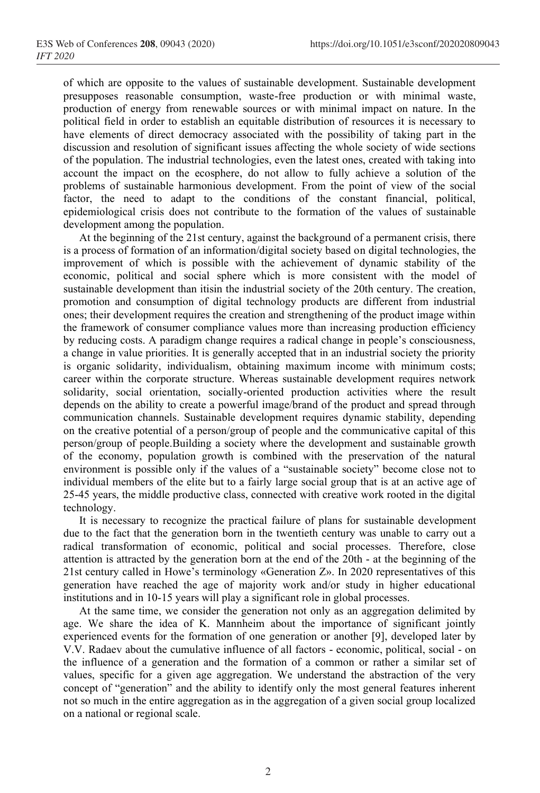of which are opposite to the values of sustainable development. Sustainable development presupposes reasonable consumption, waste-free production or with minimal waste, production of energy from renewable sources or with minimal impact on nature. In the political field in order to establish an equitable distribution of resources it is necessary to have elements of direct democracy associated with the possibility of taking part in the discussion and resolution of significant issues affecting the whole society of wide sections of the population. The industrial technologies, even the latest ones, created with taking into account the impact on the ecosphere, do not allow to fully achieve a solution of the problems of sustainable harmonious development. From the point of view of the social factor, the need to adapt to the conditions of the constant financial, political, epidemiological crisis does not contribute to the formation of the values of sustainable development among the population.

At the beginning of the 21st century, against the background of a permanent crisis, there is a process of formation of an information/digital society based on digital technologies, the improvement of which is possible with the achievement of dynamic stability of the economic, political and social sphere which is more consistent with the model of sustainable development than itisin the industrial society of the 20th century. The creation, promotion and consumption of digital technology products are different from industrial ones; their development requires the creation and strengthening of the product image within the framework of consumer compliance values more than increasing production efficiency by reducing costs. A paradigm change requires a radical change in people's consciousness, a change in value priorities. It is generally accepted that in an industrial society the priority is organic solidarity, individualism, obtaining maximum income with minimum costs; career within the corporate structure. Whereas sustainable development requires network solidarity, social orientation, socially-oriented production activities where the result depends on the ability to create a powerful image/brand of the product and spread through communication channels. Sustainable development requires dynamic stability, depending on the creative potential of a person/group of people and the communicative capital of this person/group of people.Building a society where the development and sustainable growth of the economy, population growth is combined with the preservation of the natural environment is possible only if the values of a "sustainable society" become close not to individual members of the elite but to a fairly large social group that is at an active age of 25-45 years, the middle productive class, connected with creative work rooted in the digital technology.

It is necessary to recognize the practical failure of plans for sustainable development due to the fact that the generation born in the twentieth century was unable to carry out a radical transformation of economic, political and social processes. Therefore, close attention is attracted by the generation born at the end of the 20th - at the beginning of the 21st century called in Howe's terminology «Generation Z». In 2020 representatives of this generation have reached the age of majority work and/or study in higher educational institutions and in 10-15 years will play a significant role in global processes.

At the same time, we consider the generation not only as an aggregation delimited by age. We share the idea of K. Mannheim about the importance of significant jointly experienced events for the formation of one generation or another [9], developed later by V.V. Radaev about the cumulative influence of all factors - economic, political, social - on the influence of a generation and the formation of a common or rather a similar set of values, specific for a given age aggregation. We understand the abstraction of the very concept of "generation" and the ability to identify only the most general features inherent not so much in the entire aggregation as in the aggregation of a given social group localized on a national or regional scale.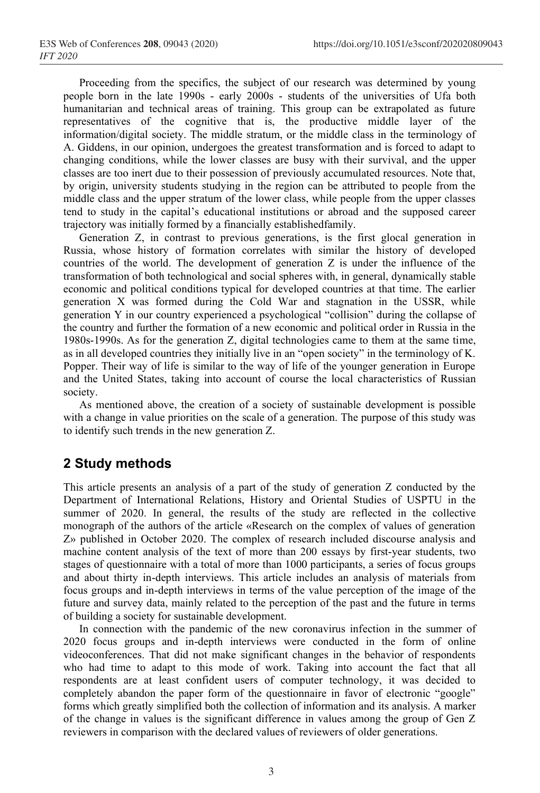Proceeding from the specifics, the subject of our research was determined by young people born in the late 1990s - early 2000s - students of the universities of Ufa both humanitarian and technical areas of training. This group can be extrapolated as future representatives of the cognitive that is, the productive middle layer of the information/digital society. The middle stratum, or the middle class in the terminology of A. Giddens, in our opinion, undergoes the greatest transformation and is forced to adapt to changing conditions, while the lower classes are busy with their survival, and the upper classes are too inert due to their possession of previously accumulated resources. Note that, by origin, university students studying in the region can be attributed to people from the middle class and the upper stratum of the lower class, while people from the upper classes tend to study in the capital's educational institutions or abroad and the supposed career trajectory was initially formed by a financially establishedfamily.

Generation Z, in contrast to previous generations, is the first glocal generation in Russia, whose history of formation correlates with similar the history of developed countries of the world. The development of generation Z is under the influence of the transformation of both technological and social spheres with, in general, dynamically stable economic and political conditions typical for developed countries at that time. The earlier generation X was formed during the Cold War and stagnation in the USSR, while generation Y in our country experienced a psychological "collision" during the collapse of the country and further the formation of a new economic and political order in Russia in the 1980s-1990s. As for the generation Z, digital technologies came to them at the same time, as in all developed countries they initially live in an "open society" in the terminology of K. Popper. Their way of life is similar to the way of life of the younger generation in Europe and the United States, taking into account of course the local characteristics of Russian society.

As mentioned above, the creation of a society of sustainable development is possible with a change in value priorities on the scale of a generation. The purpose of this study was to identify such trends in the new generation Z.

## **2 Study methods**

This article presents an analysis of a part of the study of generation Z conducted by the Department of International Relations, History and Oriental Studies of USPTU in the summer of 2020. In general, the results of the study are reflected in the collective monograph of the authors of the article «Research on the complex of values of generation Z» published in October 2020. The complex of research included discourse analysis and machine content analysis of the text of more than 200 essays by first-year students, two stages of questionnaire with a total of more than 1000 participants, a series of focus groups and about thirty in-depth interviews. This article includes an analysis of materials from focus groups and in-depth interviews in terms of the value perception of the image of the future and survey data, mainly related to the perception of the past and the future in terms of building a society for sustainable development.

In connection with the pandemic of the new coronavirus infection in the summer of 2020 focus groups and in-depth interviews were conducted in the form of online videoconferences. That did not make significant changes in the behavior of respondents who had time to adapt to this mode of work. Taking into account the fact that all respondents are at least confident users of computer technology, it was decided to completely abandon the paper form of the questionnaire in favor of electronic "google" forms which greatly simplified both the collection of information and its analysis. A marker of the change in values is the significant difference in values among the group of Gen Z reviewers in comparison with the declared values of reviewers of older generations.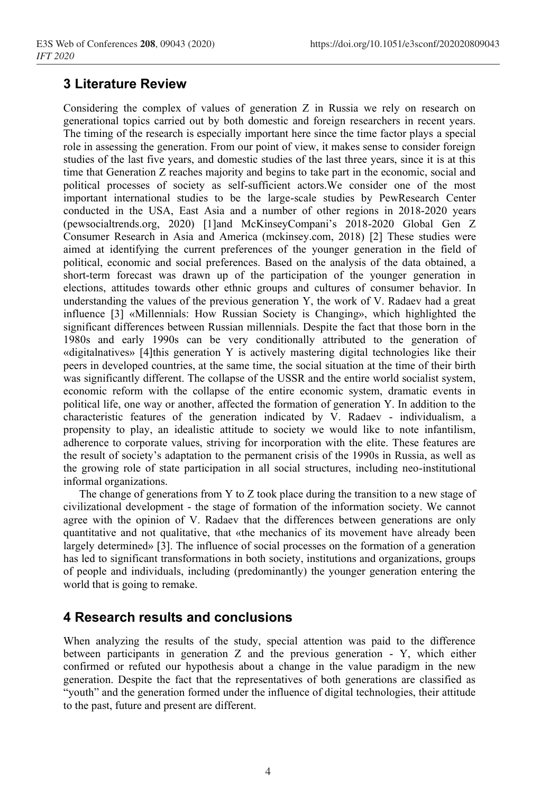### **3 Literature Review**

Considering the complex of values of generation Z in Russia we rely on research on generational topics carried out by both domestic and foreign researchers in recent years. The timing of the research is especially important here since the time factor plays a special role in assessing the generation. From our point of view, it makes sense to consider foreign studies of the last five years, and domestic studies of the last three years, since it is at this time that Generation Z reaches majority and begins to take part in the economic, social and political processes of society as self-sufficient actors.We consider one of the most important international studies to be the large-scale studies by PewResearch Center conducted in the USA, East Asia and a number of other regions in 2018-2020 years (pewsocialtrends.org, 2020) [1]and McKinseyCompani's 2018-2020 Global Gen Z Consumer Research in Asia and America (mckinsey.com, 2018) [2] These studies were aimed at identifying the current preferences of the younger generation in the field of political, economic and social preferences. Based on the analysis of the data obtained, a short-term forecast was drawn up of the participation of the younger generation in elections, attitudes towards other ethnic groups and cultures of consumer behavior. In understanding the values of the previous generation Y, the work of V. Radaev had a great influence [3] «Millennials: How Russian Society is Changing», which highlighted the significant differences between Russian millennials. Despite the fact that those born in the 1980s and early 1990s can be very conditionally attributed to the generation of «digitalnatives» [4]this generation Y is actively mastering digital technologies like their peers in developed countries, at the same time, the social situation at the time of their birth was significantly different. The collapse of the USSR and the entire world socialist system, economic reform with the collapse of the entire economic system, dramatic events in political life, one way or another, affected the formation of generation Y. In addition to the characteristic features of the generation indicated by V. Radaev - individualism, a propensity to play, an idealistic attitude to society we would like to note infantilism, adherence to corporate values, striving for incorporation with the elite. These features are the result of society's adaptation to the permanent crisis of the 1990s in Russia, as well as the growing role of state participation in all social structures, including neo-institutional informal organizations.

The change of generations from Y to Z took place during the transition to a new stage of civilizational development - the stage of formation of the information society. We cannot agree with the opinion of V. Radaev that the differences between generations are only quantitative and not qualitative, that «the mechanics of its movement have already been largely determined» [3]. The influence of social processes on the formation of a generation has led to significant transformations in both society, institutions and organizations, groups of people and individuals, including (predominantly) the younger generation entering the world that is going to remake.

## **4 Research results and conclusions**

When analyzing the results of the study, special attention was paid to the difference between participants in generation Z and the previous generation - Y, which either confirmed or refuted our hypothesis about a change in the value paradigm in the new generation. Despite the fact that the representatives of both generations are classified as "youth" and the generation formed under the influence of digital technologies, their attitude to the past, future and present are different.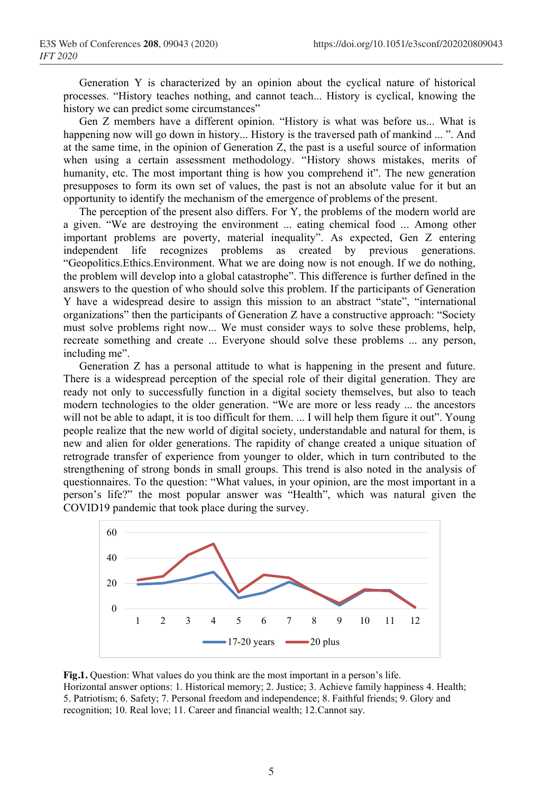Generation Y is characterized by an opinion about the cyclical nature of historical processes. "History teaches nothing, and cannot teach... History is cyclical, knowing the history we can predict some circumstances"

Gen Z members have a different opinion. "History is what was before us... What is happening now will go down in history... History is the traversed path of mankind ... ". And at the same time, in the opinion of Generation Z, the past is a useful source of information when using a certain assessment methodology. "History shows mistakes, merits of humanity, etc. The most important thing is how you comprehend it". The new generation presupposes to form its own set of values, the past is not an absolute value for it but an opportunity to identify the mechanism of the emergence of problems of the present.

The perception of the present also differs. For Y, the problems of the modern world are a given. "We are destroying the environment ... eating chemical food ... Among other important problems are poverty, material inequality". As expected, Gen Z entering independent life recognizes problems as created by previous generations. "Geopolitics.Ethics.Environment. What we are doing now is not enough. If we do nothing, the problem will develop into a global catastrophe". This difference is further defined in the answers to the question of who should solve this problem. If the participants of Generation Y have a widespread desire to assign this mission to an abstract "state", "international organizations" then the participants of Generation Z have a constructive approach: "Society must solve problems right now... We must consider ways to solve these problems, help, recreate something and create ... Everyone should solve these problems ... any person, including me".

Generation Z has a personal attitude to what is happening in the present and future. There is a widespread perception of the special role of their digital generation. They are ready not only to successfully function in a digital society themselves, but also to teach modern technologies to the older generation. "We are more or less ready ... the ancestors will not be able to adapt, it is too difficult for them. ... I will help them figure it out". Young people realize that the new world of digital society, understandable and natural for them, is new and alien for older generations. The rapidity of change created a unique situation of retrograde transfer of experience from younger to older, which in turn contributed to the strengthening of strong bonds in small groups. This trend is also noted in the analysis of questionnaires. To the question: "What values, in your opinion, are the most important in a person's life?" the most popular answer was "Health", which was natural given the COVID19 pandemic that took place during the survey.



**Fig.1.** Question: What values do you think are the most important in a person's life. Horizontal answer options: 1. Historical memory; 2. Justice; 3. Achieve family happiness 4. Health; 5. Patriotism; 6. Safety; 7. Personal freedom and independence; 8. Faithful friends; 9. Glory and recognition; 10. Real love; 11. Career and financial wealth; 12.Cannot say.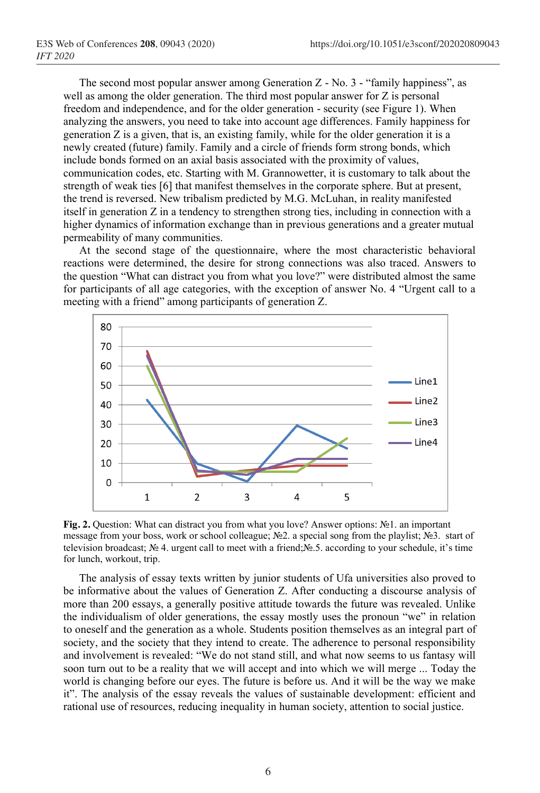The second most popular answer among Generation Z - No. 3 - "family happiness", as well as among the older generation. The third most popular answer for Z is personal freedom and independence, and for the older generation - security (see Figure 1). When analyzing the answers, you need to take into account age differences. Family happiness for generation Z is a given, that is, an existing family, while for the older generation it is a newly created (future) family. Family and a circle of friends form strong bonds, which include bonds formed on an axial basis associated with the proximity of values, communication codes, etc. Starting with M. Grannowetter, it is customary to talk about the strength of weak ties [6] that manifest themselves in the corporate sphere. But at present, the trend is reversed. New tribalism predicted by M.G. McLuhan, in reality manifested itself in generation Z in a tendency to strengthen strong ties, including in connection with a higher dynamics of information exchange than in previous generations and a greater mutual permeability of many communities.

At the second stage of the questionnaire, where the most characteristic behavioral reactions were determined, the desire for strong connections was also traced. Answers to the question "What can distract you from what you love?" were distributed almost the same for participants of all age categories, with the exception of answer No. 4 "Urgent call to a meeting with a friend" among participants of generation Z.



**Fig. 2.** Question: What can distract you from what you love? Answer options: №1. an important message from your boss, work or school colleague; №2. a special song from the playlist; №3. start of television broadcast; № 4. urgent call to meet with a friend;№.5. according to your schedule, it's time for lunch, workout, trip.

The analysis of essay texts written by junior students of Ufa universities also proved to be informative about the values of Generation Z. After conducting a discourse analysis of more than 200 essays, a generally positive attitude towards the future was revealed. Unlike the individualism of older generations, the essay mostly uses the pronoun "we" in relation to oneself and the generation as a whole. Students position themselves as an integral part of society, and the society that they intend to create. The adherence to personal responsibility and involvement is revealed: "We do not stand still, and what now seems to us fantasy will soon turn out to be a reality that we will accept and into which we will merge ... Today the world is changing before our eyes. The future is before us. And it will be the way we make it". The analysis of the essay reveals the values of sustainable development: efficient and rational use of resources, reducing inequality in human society, attention to social justice.